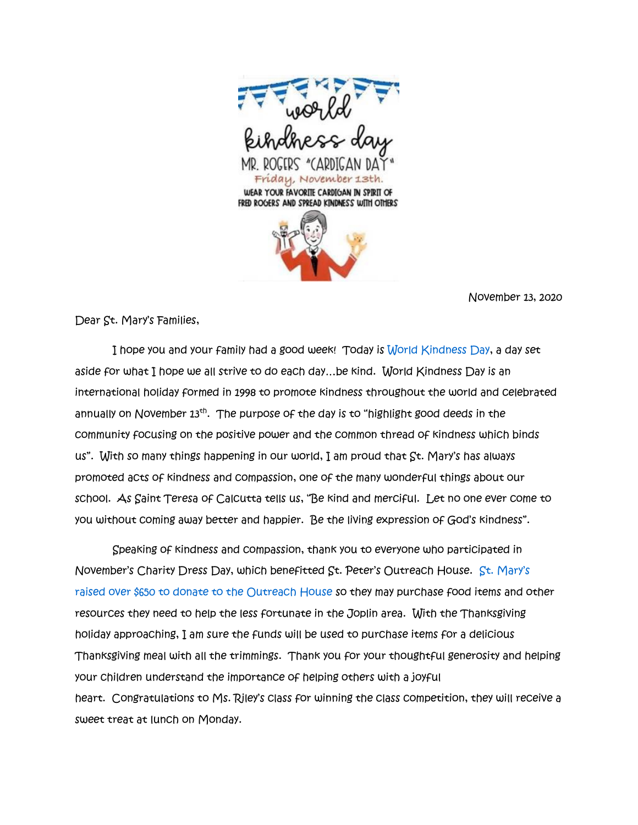

November 13, 2020

Dear St. Mary's Families,

 I hope you and your family had a good week! Today is World Kindness Day, a day set aside for what I hope we all strive to do each day…be kind. World Kindness Day is an international holiday formed in 1998 to promote kindness throughout the world and celebrated annually on November 13th . The purpose of the day is to "highlight good deeds in the community focusing on the positive power and the common thread of kindness which binds us". With so many things happening in our world, I am proud that St. Mary's has always promoted acts of kindness and compassion, one of the many wonderful things about our school. As Saint Teresa of Calcutta tells us, "Be kind and merciful. Let no one ever come to you without coming away better and happier. Be the living expression of God's kindness".

 Speaking of kindness and compassion, thank you to everyone who participated in November's Charity Dress Day, which benefitted St. Peter's Outreach House. St. Mary's raised over \$650 to donate to the Outreach House so they may purchase food items and other resources they need to help the less fortunate in the Joplin area. With the Thanksgiving holiday approaching, I am sure the funds will be used to purchase items for a delicious Thanksgiving meal with all the trimmings. Thank you for your thoughtful generosity and helping your children understand the importance of helping others with a joyful heart. Congratulations to Ms. Riley's class for winning the class competition, they will receive a sweet treat at lunch on Monday.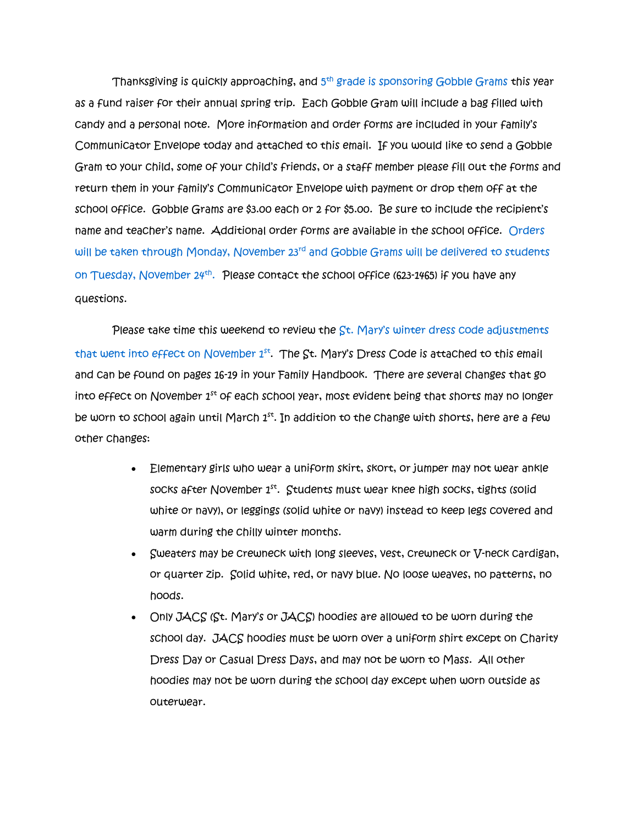Thanksgiving is quickly approaching, and 5<sup>th</sup> grade is sponsoring Gobble Grams this year as a fund raiser for their annual spring trip. Each Gobble Gram will include a bag filled with candy and a personal note. More information and order forms are included in your family's Communicator Envelope today and attached to this email. If you would like to send a Gobble Gram to your child, some of your child's friends, or a staff member please fill out the forms and return them in your family's Communicator Envelope with payment or drop them off at the school office. Gobble Grams are \$3.00 each or 2 for \$5.00. Be sure to include the recipient's name and teacher's name. Additional order forms are available in the school office. Orders will be taken through Monday, November 23rd and Gobble Grams will be delivered to students on Tuesday, November 24<sup>th</sup>. Please contact the school office (623-1465) if you have any questions.

Please take time this weekend to review the St. Mary's winter dress code adjustments that went into effect on November  $1^{st}$ . The St. Mary's Dress Code is attached to this email and can be found on pages 16-19 in your Family Handbook. There are several changes that go into effect on November  $1^{st}$  of each school year, most evident being that shorts may no longer be worn to school again until March  $1^{st}$ . In addition to the change with shorts, here are a few other changes:

- Elementary girls who wear a uniform skirt, skort, or jumper may not wear ankle socks after November 1st . Students must wear knee high socks, tights (solid white or navy), or leggings (solid white or navy) instead to keep legs covered and warm during the chilly winter months.
- Sweaters may be crewneck with long sleeves, vest, crewneck or V-neck cardigan, or quarter zip. Solid white, red, or navy blue. No loose weaves, no patterns, no hoods.
- Only JACS (St. Mary's or JACS) hoodies are allowed to be worn during the school day. JACS hoodies must be worn over a uniform shirt except on Charity Dress Day or Casual Dress Days, and may not be worn to Mass. All other hoodies may not be worn during the school day except when worn outside as outerwear.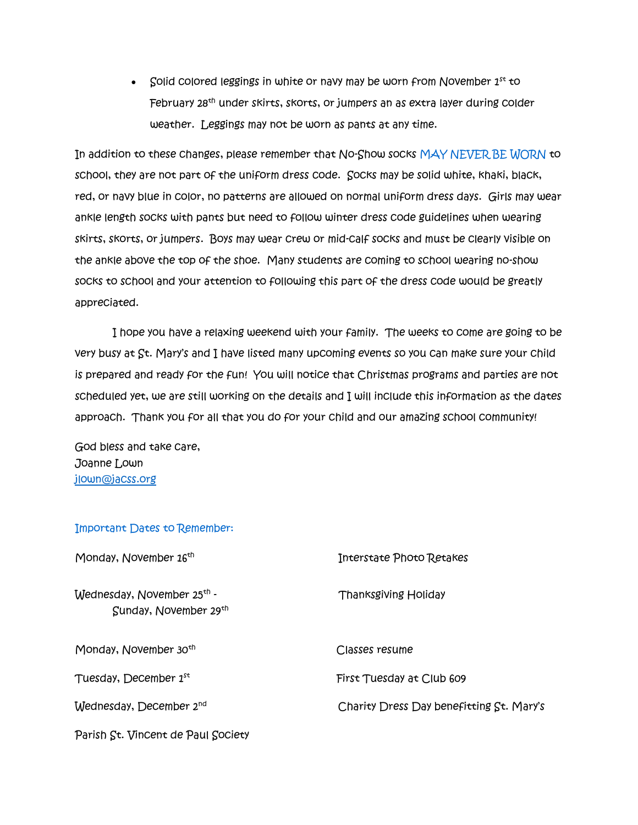• Solid colored leggings in white or navy may be worn from November  $1^{st}$  to February 28<sup>th</sup> under skirts, skorts, or jumpers an as extra layer during colder weather. Leggings may not be worn as pants at any time.

In addition to these changes, please remember that No-Show socks MAY NEVER BE WORN to school, they are not part of the uniform dress code. Socks may be solid white, khaki, black, red, or navy blue in color, no patterns are allowed on normal uniform dress days. Girls may wear ankle length socks with pants but need to follow winter dress code guidelines when wearing skirts, skorts, or jumpers. Boys may wear crew or mid-calf socks and must be clearly visible on the ankle above the top of the shoe. Many students are coming to school wearing no-show socks to school and your attention to following this part of the dress code would be greatly appreciated.

 I hope you have a relaxing weekend with your family. The weeks to come are going to be very busy at St. Mary's and I have listed many upcoming events so you can make sure your child is prepared and ready for the fun! You will notice that Christmas programs and parties are not scheduled yet, we are still working on the details and I will include this information as the dates approach. Thank you for all that you do for your child and our amazing school community!

God bless and take care, Joanne Lown [jlown@jacss.org](mailto:jlown@jacss.org)

## Important Dates to Remember:

| Monday, November 16 <sup>th</sup>                               | Interstate Photo Retakes                 |
|-----------------------------------------------------------------|------------------------------------------|
| Wednesday, November 25 <sup>th</sup> -<br>Sunday, November 29th | <b>Thanksgiving Holiday</b>              |
| Monday, November 30 <sup>th</sup>                               | Classes resume                           |
| Tuesday, December 1st                                           | First Tuesday at Club 609                |
| Wednesday, December 2 <sup>nd</sup>                             | Charity Dress Day benefitting St. Mary's |
| Parish St. Vincent de Paul Society                              |                                          |